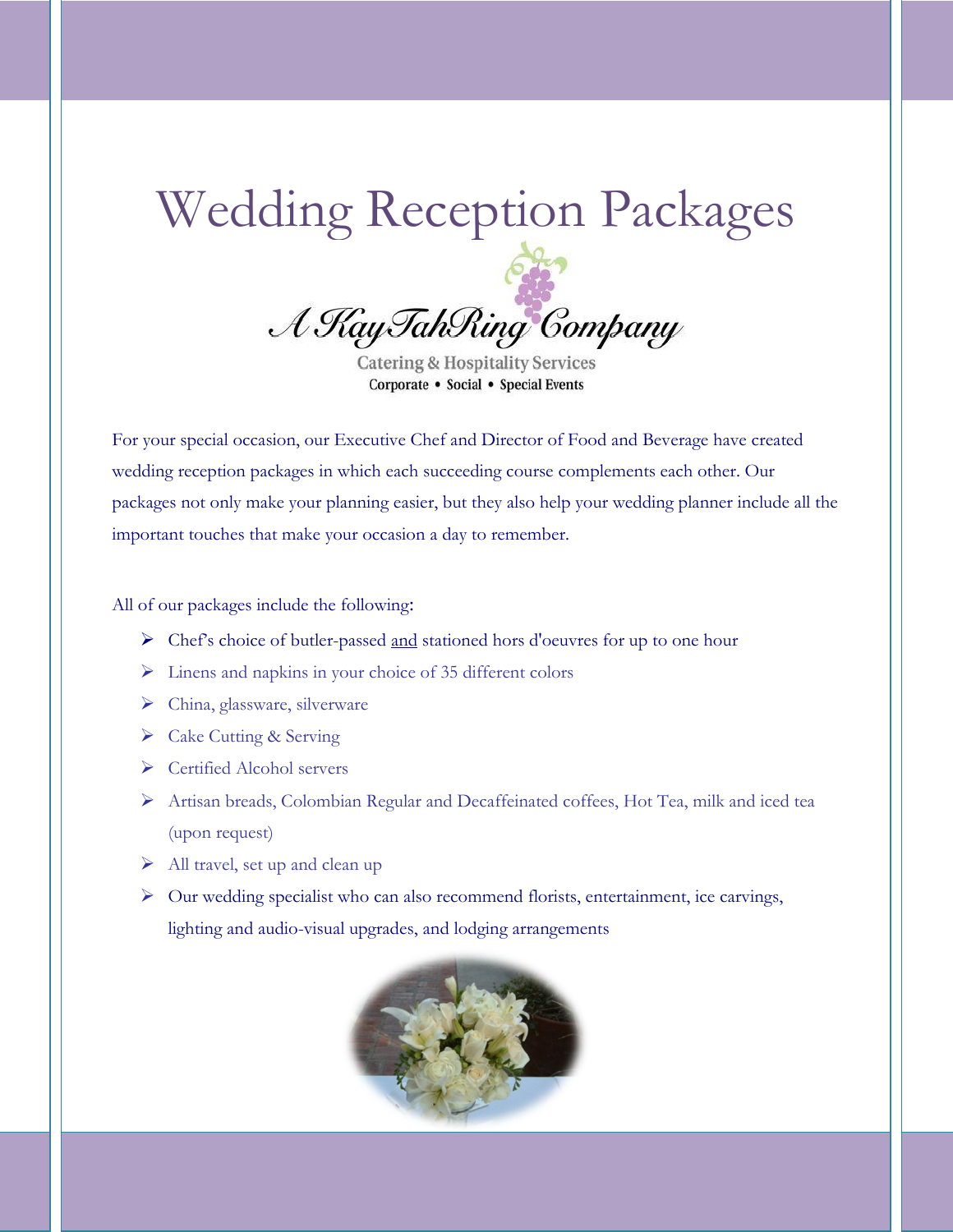# Wedding Reception Packages

A Kay TahRing Company

**Catering & Hospitality Services** Corporate • Social • Special Events

For your special occasion, our Executive Chef and Director of Food and Beverage have created wedding reception packages in which each succeeding course complements each other. Our packages not only make your planning easier, but they also help your wedding planner include all the important touches that make your occasion a day to remember.

All of our packages include the following:

- $\triangleright$  Chef's choice of butler-passed and stationed hors d'oeuvres for up to one hour
- Linens and napkins in your choice of 35 different colors
- China, glassware, silverware
- Cake Cutting & Serving
- ▶ Certified Alcohol servers
- Artisan breads, Colombian Regular and Decaffeinated coffees, Hot Tea, milk and iced tea (upon request)
- $\triangleright$  All travel, set up and clean up
- Our wedding specialist who can also recommend florists, entertainment, ice carvings, lighting and audio-visual upgrades, and lodging arrangements

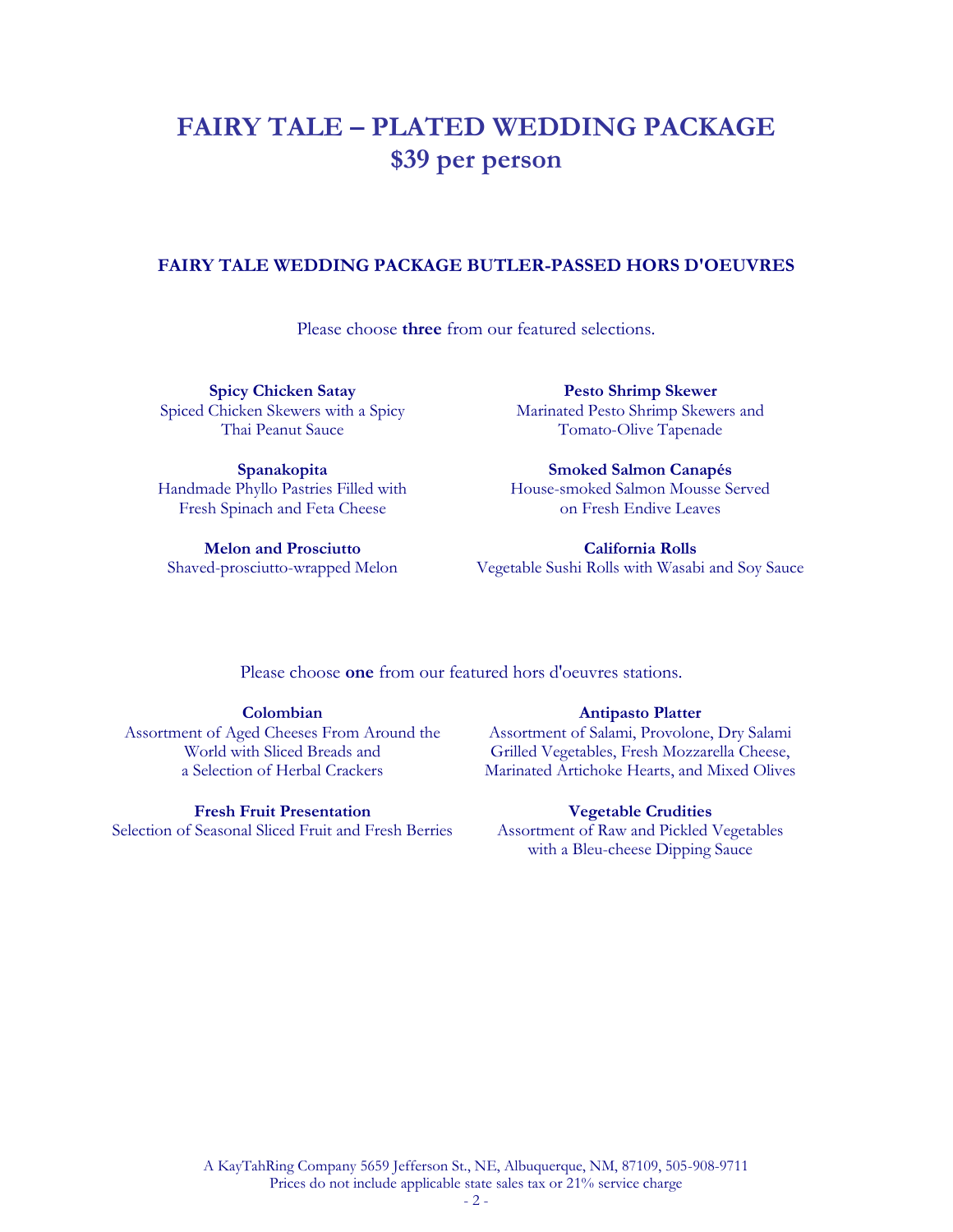### **FAIRY TALE – PLATED WEDDING PACKAGE \$39 per person**

#### **FAIRY TALE WEDDING PACKAGE BUTLER-PASSED HORS D'OEUVRES**

Please choose **three** from our featured selections.

**Spicy Chicken Satay** Spiced Chicken Skewers with a Spicy Thai Peanut Sauce

**Pesto Shrimp Skewer** Marinated Pesto Shrimp Skewers and Tomato-Olive Tapenade

**Spanakopita** Handmade Phyllo Pastries Filled with Fresh Spinach and Feta Cheese

**Melon and Prosciutto** Shaved-prosciutto-wrapped Melon

**Smoked Salmon Canapés** House-smoked Salmon Mousse Served on Fresh Endive Leaves

**California Rolls** Vegetable Sushi Rolls with Wasabi and Soy Sauce

Please choose **one** from our featured hors d'oeuvres stations.

#### **Colombian**

Assortment of Aged Cheeses From Around the World with Sliced Breads and a Selection of Herbal Crackers

#### **Fresh Fruit Presentation**

Selection of Seasonal Sliced Fruit and Fresh Berries

#### **Antipasto Platter**

Assortment of Salami, Provolone, Dry Salami Grilled Vegetables, Fresh Mozzarella Cheese, Marinated Artichoke Hearts, and Mixed Olives

#### **Vegetable Crudities**

Assortment of Raw and Pickled Vegetables with a Bleu-cheese Dipping Sauce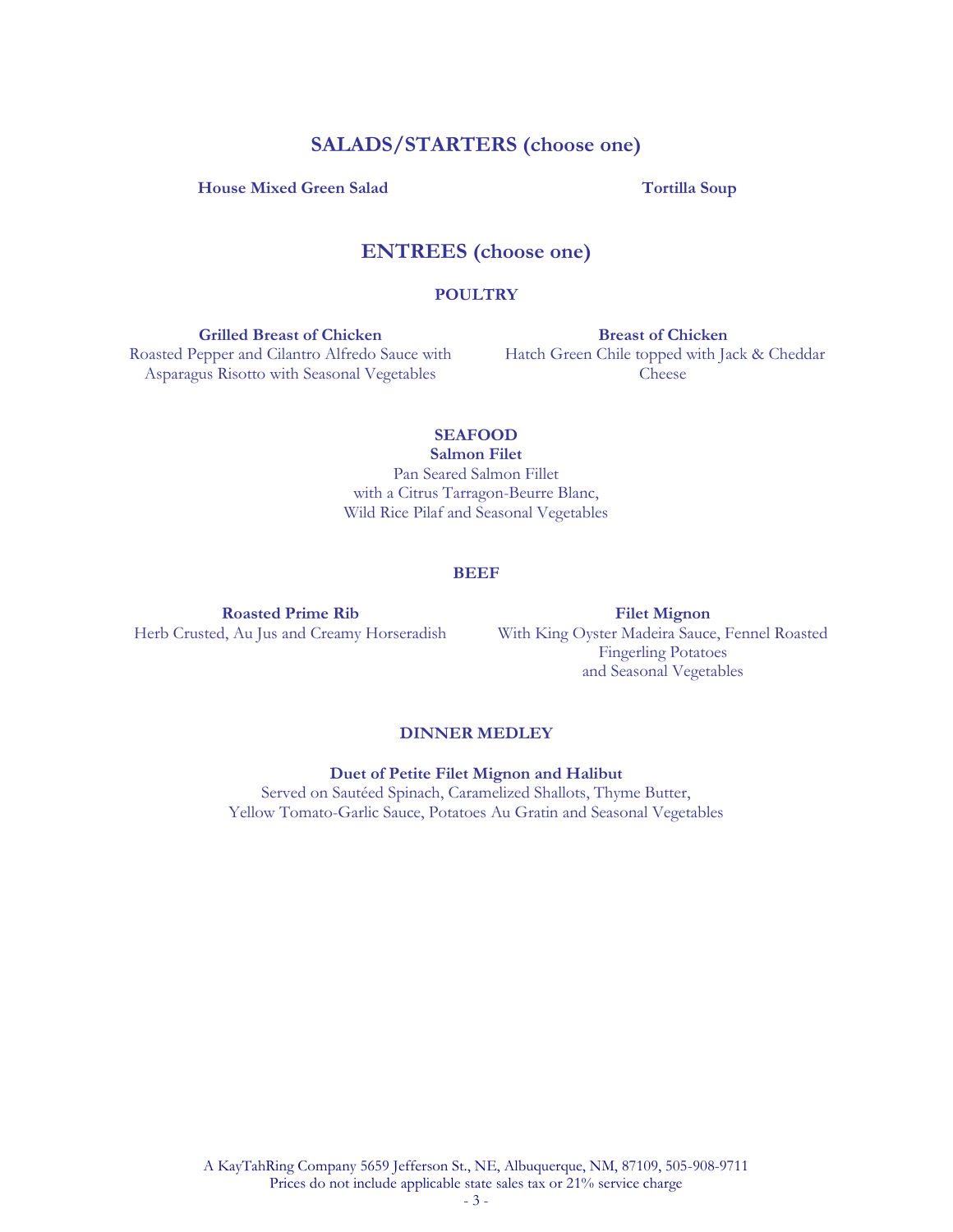#### **SALADS/STARTERS (choose one)**

#### **House Mixed Green Salad Tortilla Soup**

### **ENTREES (choose one)**

#### **POULTRY**

**Grilled Breast of Chicken** Roasted Pepper and Cilantro Alfredo Sauce with Asparagus Risotto with Seasonal Vegetables

**Breast of Chicken** Hatch Green Chile topped with Jack & Cheddar Cheese

#### **SEAFOOD**

**Salmon Filet** Pan Seared Salmon Fillet with a Citrus Tarragon-Beurre Blanc, Wild Rice Pilaf and Seasonal Vegetables

#### **BEEF**

**Roasted Prime Rib** Herb Crusted, Au Jus and Creamy Horseradish

**Filet Mignon**  With King Oyster Madeira Sauce, Fennel Roasted Fingerling Potatoes and Seasonal Vegetables

#### **DINNER MEDLEY**

**Duet of Petite Filet Mignon and Halibut**

Served on Sautéed Spinach, Caramelized Shallots, Thyme Butter, Yellow Tomato-Garlic Sauce, Potatoes Au Gratin and Seasonal Vegetables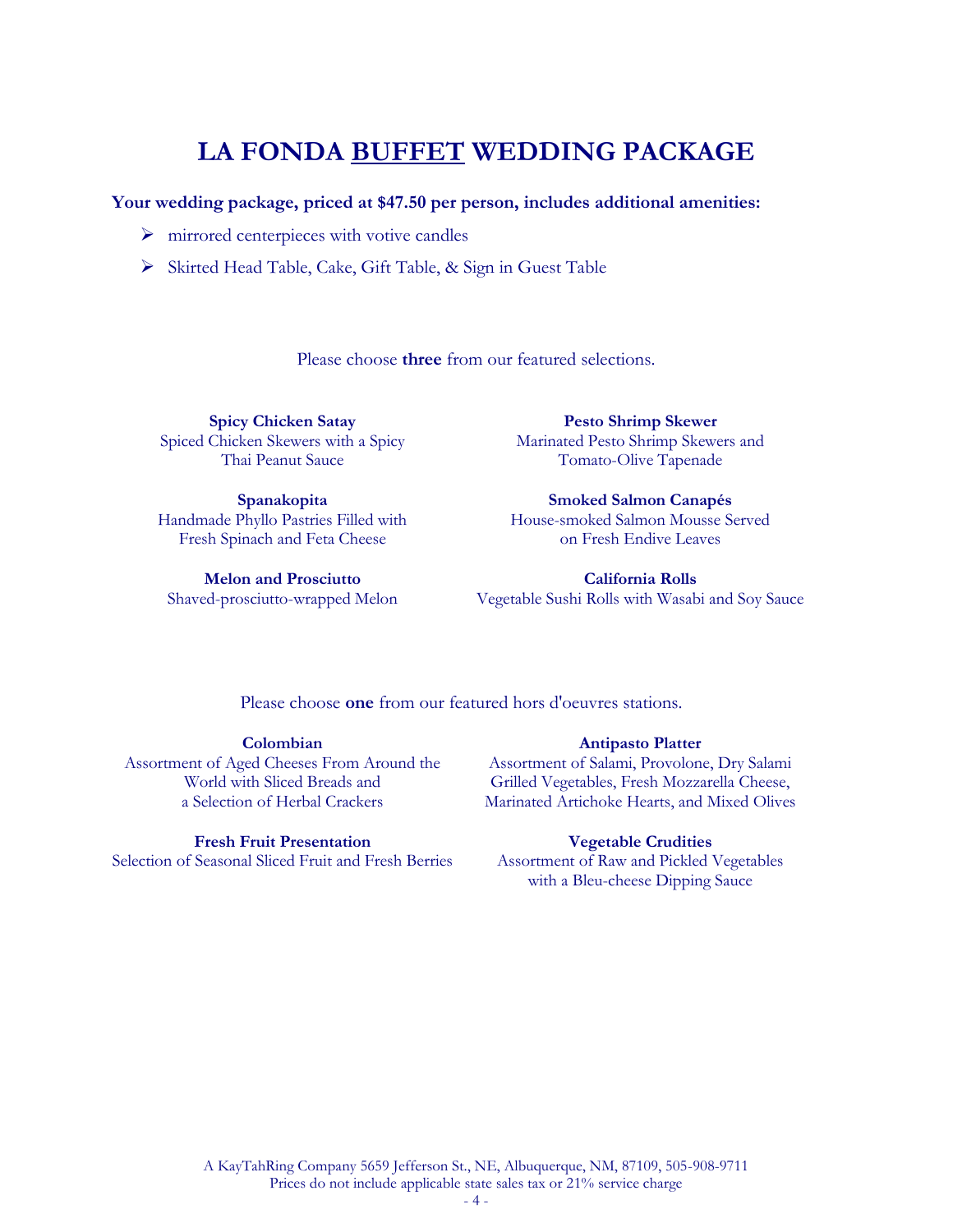## **LA FONDA BUFFET WEDDING PACKAGE**

#### **Your wedding package, priced at \$47.50 per person, includes additional amenities:**

- $\triangleright$  mirrored centerpieces with votive candles
- Skirted Head Table, Cake, Gift Table, & Sign in Guest Table

Please choose **three** from our featured selections.

**Spicy Chicken Satay** Spiced Chicken Skewers with a Spicy Thai Peanut Sauce

**Spanakopita** Handmade Phyllo Pastries Filled with Fresh Spinach and Feta Cheese

**Melon and Prosciutto** Shaved-prosciutto-wrapped Melon

**Pesto Shrimp Skewer** Marinated Pesto Shrimp Skewers and Tomato-Olive Tapenade

**Smoked Salmon Canapés** House-smoked Salmon Mousse Served on Fresh Endive Leaves

**California Rolls** Vegetable Sushi Rolls with Wasabi and Soy Sauce

Please choose **one** from our featured hors d'oeuvres stations.

**Colombian**  Assortment of Aged Cheeses From Around the World with Sliced Breads and a Selection of Herbal Crackers

**Fresh Fruit Presentation** Selection of Seasonal Sliced Fruit and Fresh Berries

#### **Antipasto Platter**

Assortment of Salami, Provolone, Dry Salami Grilled Vegetables, Fresh Mozzarella Cheese, Marinated Artichoke Hearts, and Mixed Olives

#### **Vegetable Crudities**

Assortment of Raw and Pickled Vegetables with a Bleu-cheese Dipping Sauce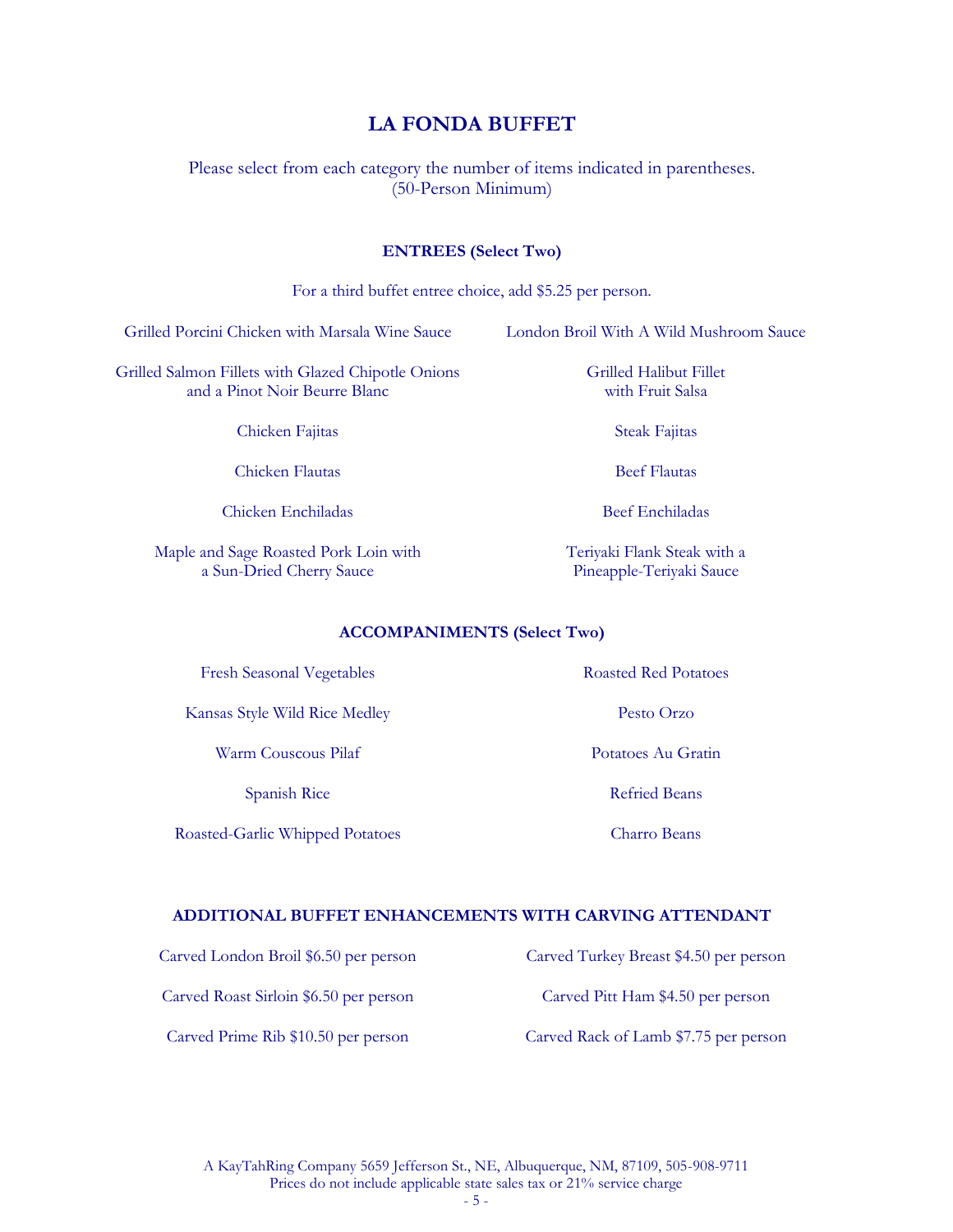### **LA FONDA BUFFET**

Please select from each category the number of items indicated in parentheses. (50-Person Minimum)

#### **ENTREES (Select Two)**

| For a third buffet entree choice, add \$5.25 per person.                                                                          |                                                         |  |
|-----------------------------------------------------------------------------------------------------------------------------------|---------------------------------------------------------|--|
| Grilled Porcini Chicken with Marsala Wine Sauce                                                                                   | London Broil With A Wild Mushroom Sauce                 |  |
| Grilled Halibut Fillet<br>Grilled Salmon Fillets with Glazed Chipotle Onions<br>and a Pinot Noir Beurre Blanc<br>with Fruit Salsa |                                                         |  |
| Chicken Fajitas                                                                                                                   | Steak Fajitas                                           |  |
| Chicken Flautas                                                                                                                   | <b>Beef Flautas</b>                                     |  |
| Chicken Enchiladas                                                                                                                | <b>Beef Enchiladas</b>                                  |  |
| Maple and Sage Roasted Pork Loin with<br>a Sun-Dried Cherry Sauce                                                                 | Teriyaki Flank Steak with a<br>Pineapple-Teriyaki Sauce |  |

#### **ACCOMPANIMENTS (Select Two)**

Fresh Seasonal Vegetables Roasted Red Potatoes

Kansas Style Wild Rice Medley Pesto Orzo

Warm Couscous Pilaf Potatoes Au Gratin

Spanish Rice

Roasted-Garlic Whipped Potatoes

Refried Beans

Charro Beans

#### **ADDITIONAL BUFFET ENHANCEMENTS WITH CARVING ATTENDANT**

Carved London Broil \$6.50 per person Carved Turkey Breast \$4.50 per person

Carved Roast Sirloin \$6.50 per person Carved Pitt Ham \$4.50 per person

Carved Prime Rib \$10.50 per person Carved Rack of Lamb \$7.75 per person

A KayTahRing Company 5659 Jefferson St., NE, Albuquerque, NM, 87109, 505-908-9711 Prices do not include applicable state sales tax or 21% service charge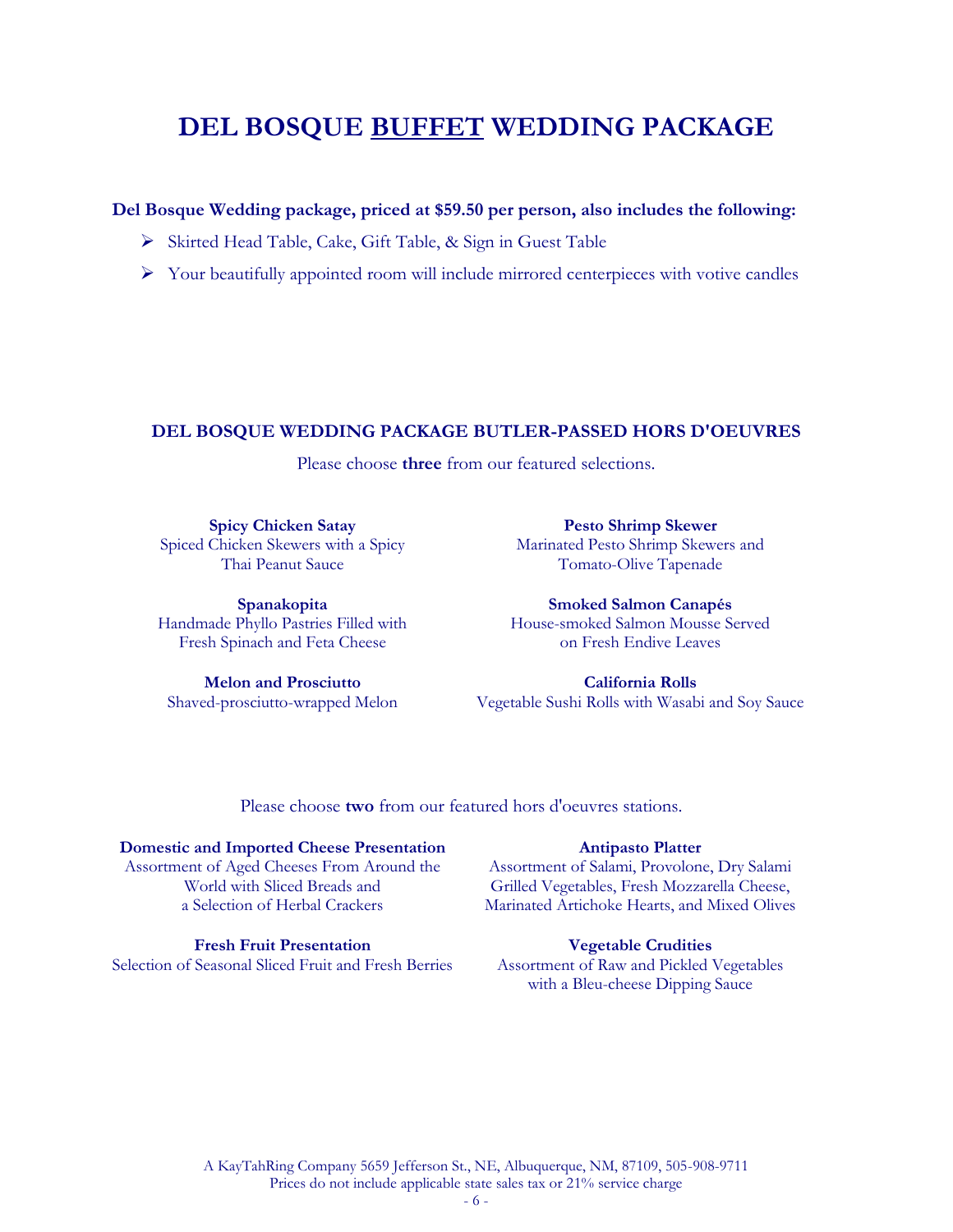### **DEL BOSQUE BUFFET WEDDING PACKAGE**

#### **Del Bosque Wedding package, priced at \$59.50 per person, also includes the following:**

- Skirted Head Table, Cake, Gift Table, & Sign in Guest Table
- $\triangleright$  Your beautifully appointed room will include mirrored centerpieces with votive candles

#### **DEL BOSQUE WEDDING PACKAGE BUTLER-PASSED HORS D'OEUVRES**

Please choose **three** from our featured selections.

**Spicy Chicken Satay** Spiced Chicken Skewers with a Spicy Thai Peanut Sauce

**Pesto Shrimp Skewer** Marinated Pesto Shrimp Skewers and Tomato-Olive Tapenade

**Spanakopita** Handmade Phyllo Pastries Filled with Fresh Spinach and Feta Cheese

**Melon and Prosciutto** Shaved-prosciutto-wrapped Melon

**Smoked Salmon Canapés** House-smoked Salmon Mousse Served on Fresh Endive Leaves

**California Rolls** Vegetable Sushi Rolls with Wasabi and Soy Sauce

Please choose **two** from our featured hors d'oeuvres stations.

#### **Domestic and Imported Cheese Presentation**

Assortment of Aged Cheeses From Around the World with Sliced Breads and a Selection of Herbal Crackers

**Fresh Fruit Presentation**

Selection of Seasonal Sliced Fruit and Fresh Berries

#### **Antipasto Platter**

Assortment of Salami, Provolone, Dry Salami Grilled Vegetables, Fresh Mozzarella Cheese, Marinated Artichoke Hearts, and Mixed Olives

#### **Vegetable Crudities**

Assortment of Raw and Pickled Vegetables with a Bleu-cheese Dipping Sauce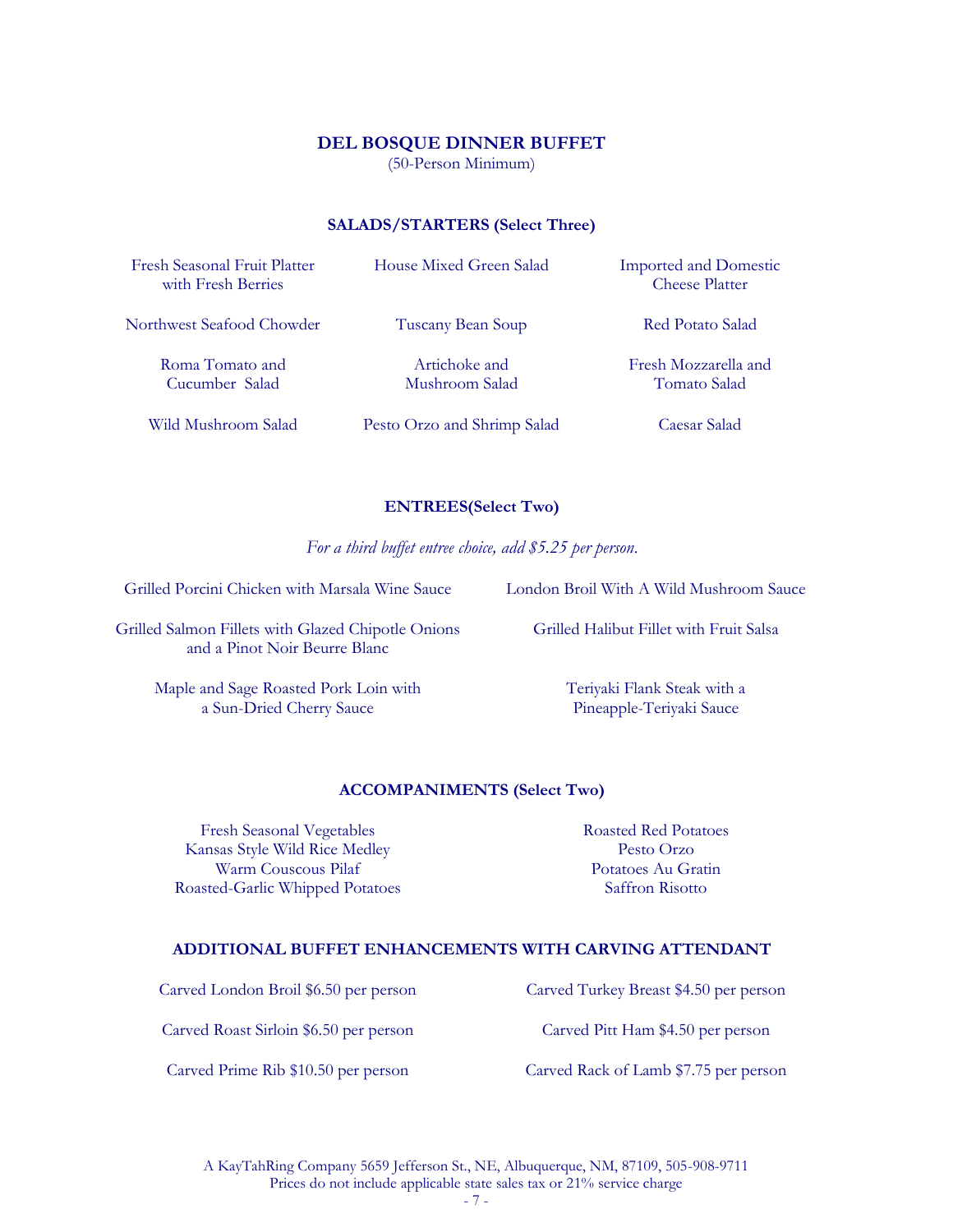#### **DEL BOSQUE DINNER BUFFET**

(50-Person Minimum)

#### **SALADS/STARTERS (Select Three)**

| Fresh Seasonal Fruit Platter<br>with Fresh Berries | House Mixed Green Salad         | <b>Imported and Domestic</b><br><b>Cheese Platter</b> |
|----------------------------------------------------|---------------------------------|-------------------------------------------------------|
| Northwest Seafood Chowder                          | Tuscany Bean Soup               | Red Potato Salad                                      |
| Roma Tomato and<br>Cucumber Salad                  | Artichoke and<br>Mushroom Salad | Fresh Mozzarella and<br>Tomato Salad                  |
| Wild Mushroom Salad                                | Pesto Orzo and Shrimp Salad     | Caesar Salad                                          |

#### **ENTREES(Select Two)**

*For a third buffet entree choice, add \$5.25 per person*.

Grilled Porcini Chicken with Marsala Wine Sauce London Broil With A Wild Mushroom Sauce

Grilled Salmon Fillets with Glazed Chipotle Onions and a Pinot Noir Beurre Blanc

> Maple and Sage Roasted Pork Loin with a Sun-Dried Cherry Sauce

Grilled Halibut Fillet with Fruit Salsa

Teriyaki Flank Steak with a Pineapple-Teriyaki Sauce

#### **ACCOMPANIMENTS (Select Two)**

Fresh Seasonal Vegetables Roasted Red Potatoes Kansas Style Wild Rice Medley Pesto Orzo Warm Couscous Pilaf Potatoes Au Gratin Roasted-Garlic Whipped Potatoes Saffron Risotto

#### **ADDITIONAL BUFFET ENHANCEMENTS WITH CARVING ATTENDANT**

Carved London Broil \$6.50 per person Carved Turkey Breast \$4.50 per person

Carved Roast Sirloin \$6.50 per person Carved Pitt Ham \$4.50 per person

Carved Prime Rib \$10.50 per person Carved Rack of Lamb \$7.75 per person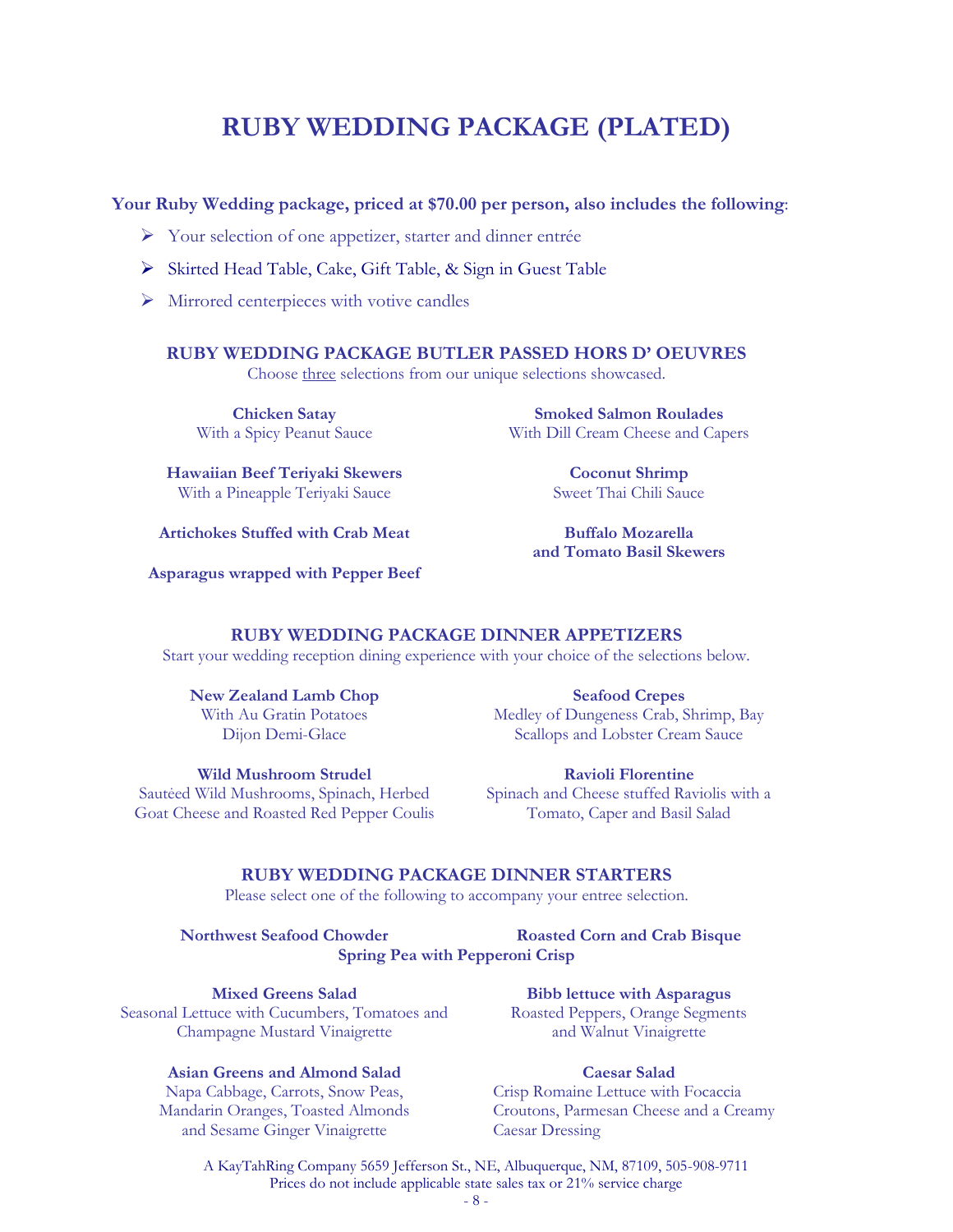## **RUBY WEDDING PACKAGE (PLATED)**

#### **Your Ruby Wedding package, priced at \$70.00 per person, also includes the following**:

- Your selection of one appetizer, starter and dinner entrée
- Skirted Head Table, Cake, Gift Table, & Sign in Guest Table
- $\triangleright$  Mirrored centerpieces with votive candles

#### **RUBY WEDDING PACKAGE BUTLER PASSED HORS D' OEUVRES**

Choose three selections from our unique selections showcased.

**Chicken Satay** With a Spicy Peanut Sauce

**Hawaiian Beef Teriyaki Skewers** With a Pineapple Teriyaki Sauce

**Artichokes Stuffed with Crab Meat**

**Coconut Shrimp** Sweet Thai Chili Sauce

**Smoked Salmon Roulades** With Dill Cream Cheese and Capers

**Buffalo Mozarella and Tomato Basil Skewers**

**Asparagus wrapped with Pepper Beef**

#### **RUBY WEDDING PACKAGE DINNER APPETIZERS**

Start your wedding reception dining experience with your choice of the selections below.

**New Zealand Lamb Chop** With Au Gratin Potatoes Dijon Demi-Glace

**Seafood Crepes** Medley of Dungeness Crab, Shrimp, Bay Scallops and Lobster Cream Sauce

**Wild Mushroom Strudel** Sautėed Wild Mushrooms, Spinach, Herbed Goat Cheese and Roasted Red Pepper Coulis

**Ravioli Florentine**  Spinach and Cheese stuffed Raviolis with a Tomato, Caper and Basil Salad

#### **RUBY WEDDING PACKAGE DINNER STARTERS**

Please select one of the following to accompany your entree selection.

**Northwest Seafood Chowder Roasted Corn and Crab Bisque Spring Pea with Pepperoni Crisp**

**Mixed Greens Salad** Seasonal Lettuce with Cucumbers, Tomatoes and Champagne Mustard Vinaigrette

**Bibb lettuce with Asparagus** Roasted Peppers, Orange Segments and Walnut Vinaigrette

#### **Asian Greens and Almond Salad**

Napa Cabbage, Carrots, Snow Peas, Mandarin Oranges, Toasted Almonds and Sesame Ginger Vinaigrette

#### **Caesar Salad**

Crisp Romaine Lettuce with Focaccia Croutons, Parmesan Cheese and a Creamy Caesar Dressing

A KayTahRing Company 5659 Jefferson St., NE, Albuquerque, NM, 87109, 505-908-9711 Prices do not include applicable state sales tax or 21% service charge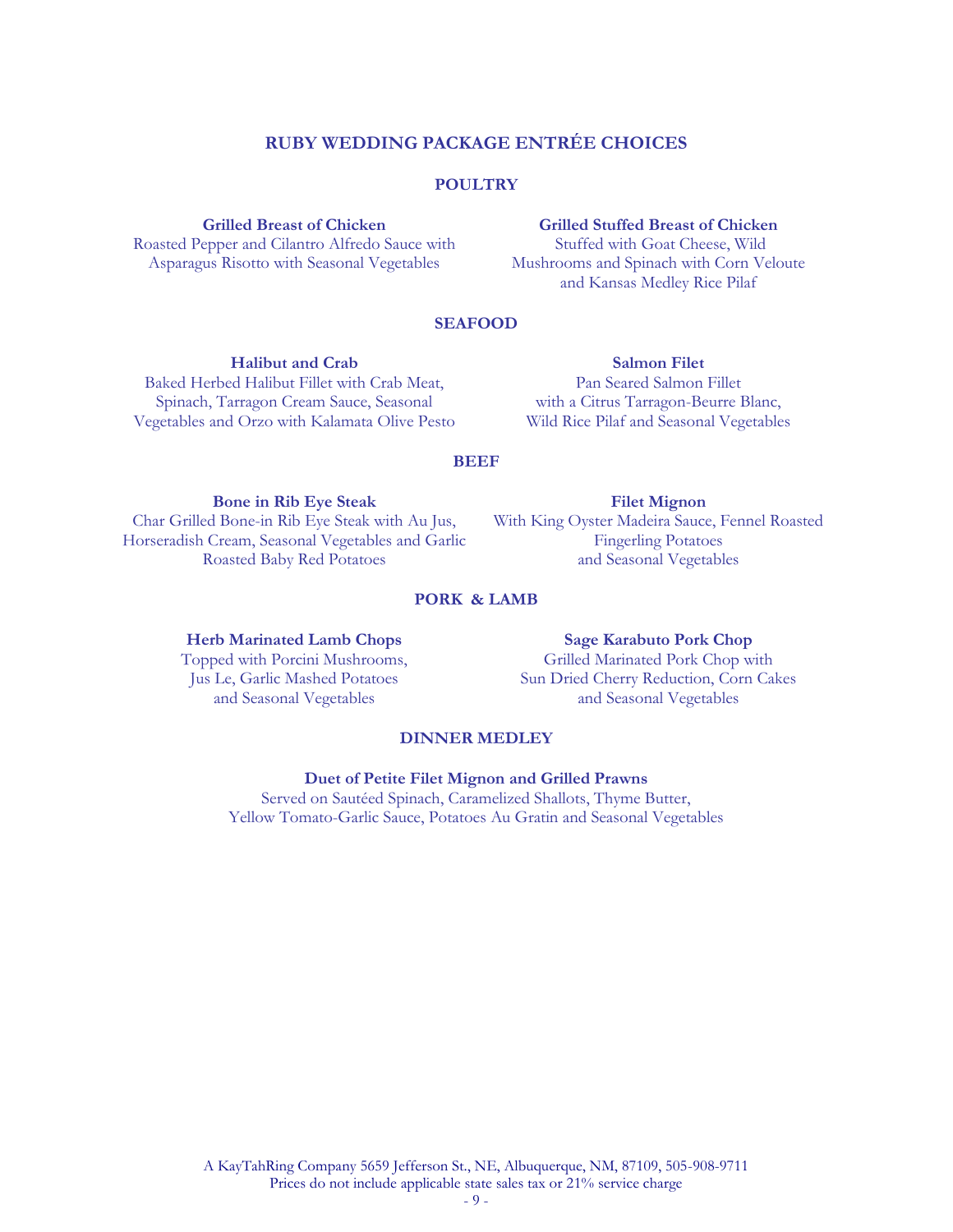### **RUBY WEDDING PACKAGE ENTRÉE CHOICES**

#### **POULTRY**

#### **Grilled Breast of Chicken**

Roasted Pepper and Cilantro Alfredo Sauce with Asparagus Risotto with Seasonal Vegetables

#### **Grilled Stuffed Breast of Chicken**

Stuffed with Goat Cheese, Wild Mushrooms and Spinach with Corn Veloute and Kansas Medley Rice Pilaf

#### **SEAFOOD**

#### **Halibut and Crab**

Baked Herbed Halibut Fillet with Crab Meat, Spinach, Tarragon Cream Sauce, Seasonal Vegetables and Orzo with Kalamata Olive Pesto

**Salmon Filet** Pan Seared Salmon Fillet with a Citrus Tarragon-Beurre Blanc, Wild Rice Pilaf and Seasonal Vegetables

#### **BEEF**

**Bone in Rib Eye Steak** Char Grilled Bone-in Rib Eye Steak with Au Jus, Horseradish Cream, Seasonal Vegetables and Garlic Roasted Baby Red Potatoes

**Filet Mignon**  With King Oyster Madeira Sauce, Fennel Roasted Fingerling Potatoes and Seasonal Vegetables

#### **PORK & LAMB**

#### **Herb Marinated Lamb Chops** Topped with Porcini Mushrooms,

Jus Le, Garlic Mashed Potatoes and Seasonal Vegetables

#### **Sage Karabuto Pork Chop** Grilled Marinated Pork Chop with Sun Dried Cherry Reduction, Corn Cakes and Seasonal Vegetables

#### **DINNER MEDLEY**

#### **Duet of Petite Filet Mignon and Grilled Prawns**

Served on Sautéed Spinach, Caramelized Shallots, Thyme Butter, Yellow Tomato-Garlic Sauce, Potatoes Au Gratin and Seasonal Vegetables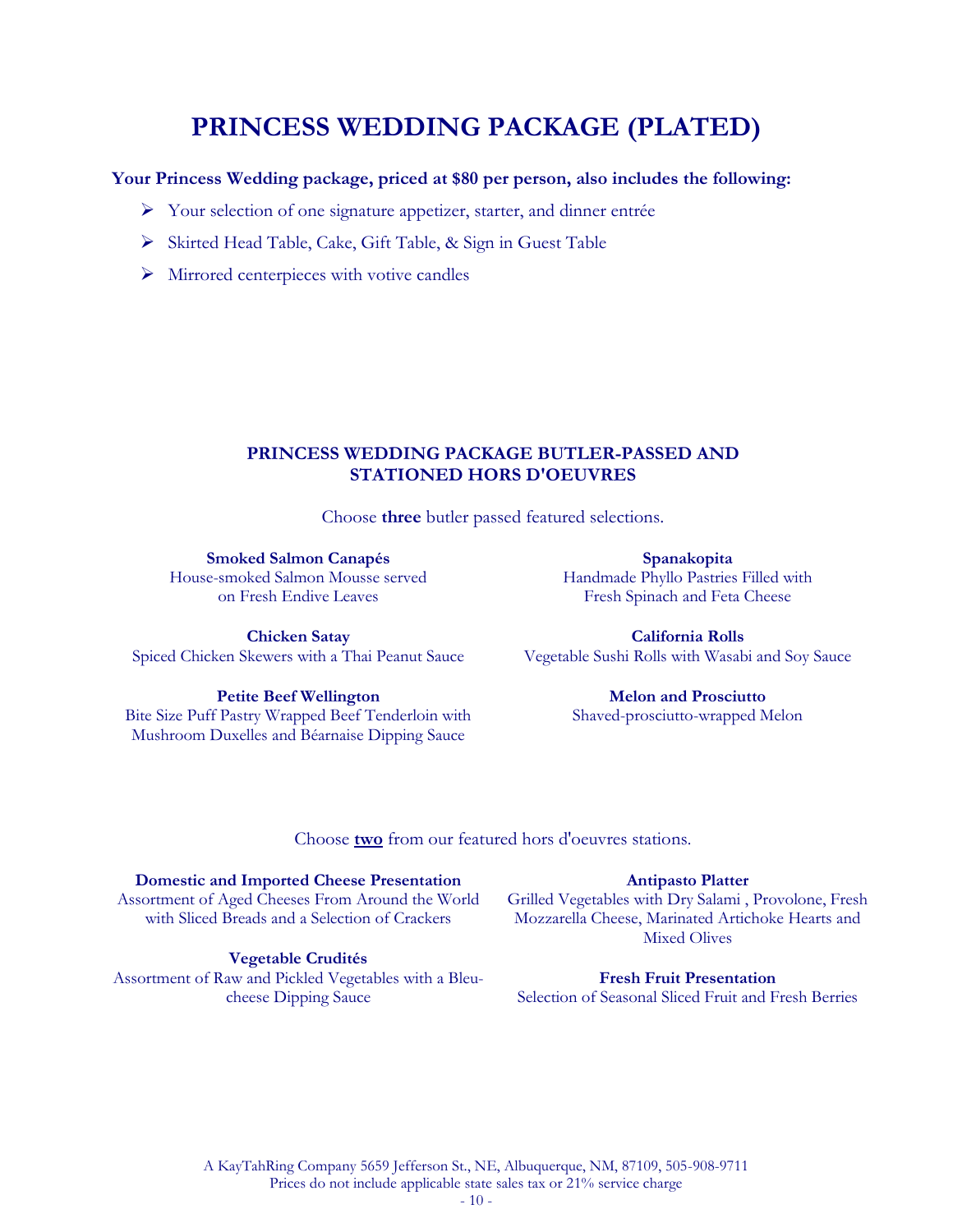# **PRINCESS WEDDING PACKAGE (PLATED)**

#### **Your Princess Wedding package, priced at \$80 per person, also includes the following:**

- Your selection of one signature appetizer, starter, and dinner entrée
- Skirted Head Table, Cake, Gift Table, & Sign in Guest Table
- $\triangleright$  Mirrored centerpieces with votive candles

#### **PRINCESS WEDDING PACKAGE BUTLER-PASSED AND STATIONED HORS D'OEUVRES**

Choose **three** butler passed featured selections.

**Smoked Salmon Canapés** House-smoked Salmon Mousse served on Fresh Endive Leaves

**Spanakopita** Handmade Phyllo Pastries Filled with Fresh Spinach and Feta Cheese

**Chicken Satay** Spiced Chicken Skewers with a Thai Peanut Sauce

**California Rolls** Vegetable Sushi Rolls with Wasabi and Soy Sauce

**Petite Beef Wellington** Bite Size Puff Pastry Wrapped Beef Tenderloin with Mushroom Duxelles and Béarnaise Dipping Sauce

**Melon and Prosciutto** Shaved-prosciutto-wrapped Melon

Choose **two** from our featured hors d'oeuvres stations.

#### **Domestic and Imported Cheese Presentation**

Assortment of Aged Cheeses From Around the World with Sliced Breads and a Selection of Crackers

#### **Vegetable Crudités**

Assortment of Raw and Pickled Vegetables with a Bleucheese Dipping Sauce

#### **Antipasto Platter**

Grilled Vegetables with Dry Salami , Provolone, Fresh Mozzarella Cheese, Marinated Artichoke Hearts and Mixed Olives

#### **Fresh Fruit Presentation**

Selection of Seasonal Sliced Fruit and Fresh Berries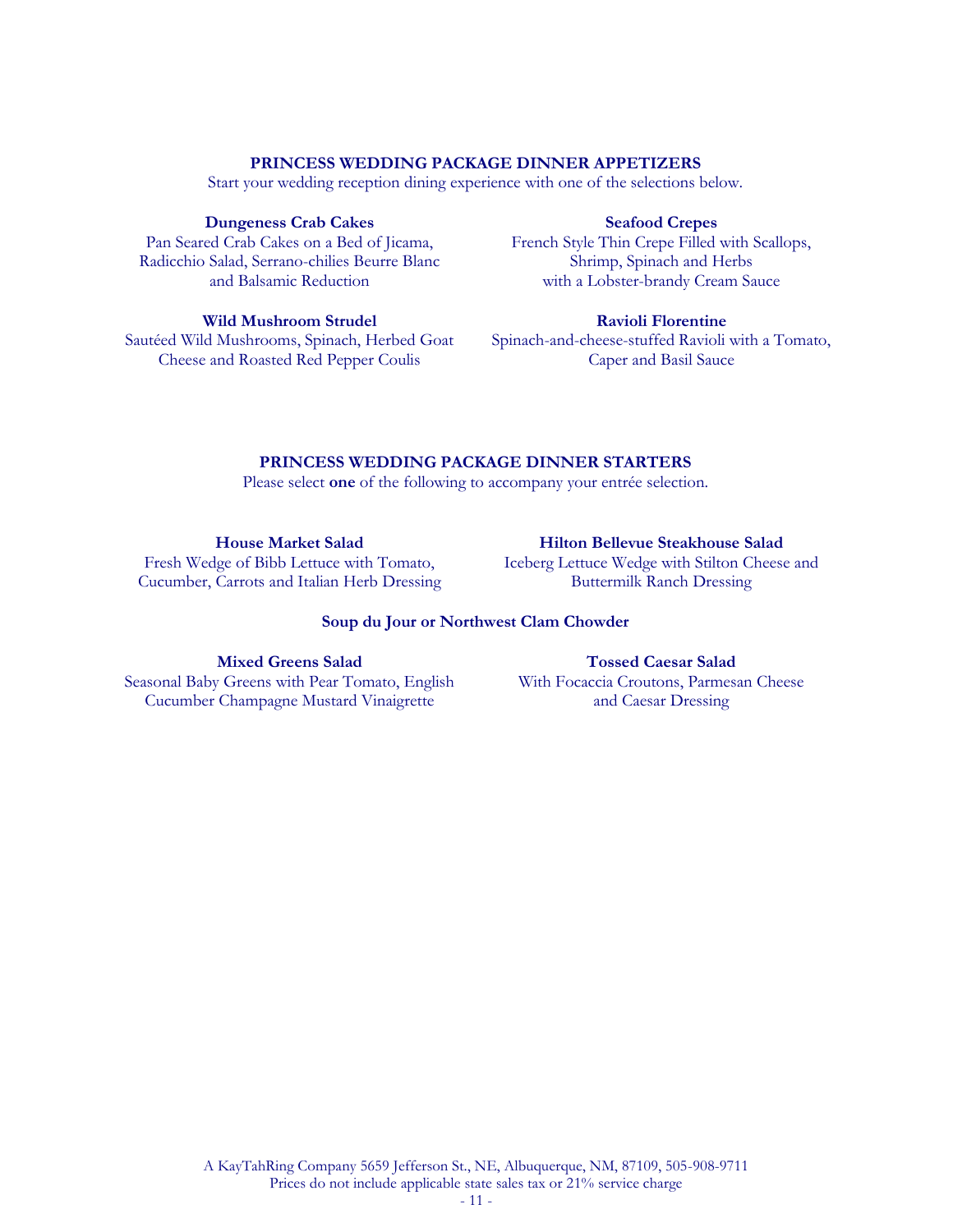#### **PRINCESS WEDDING PACKAGE DINNER APPETIZERS**

Start your wedding reception dining experience with one of the selections below.

#### **Dungeness Crab Cakes**

Pan Seared Crab Cakes on a Bed of Jicama, Radicchio Salad, Serrano-chilies Beurre Blanc and Balsamic Reduction

#### **Seafood Crepes**

French Style Thin Crepe Filled with Scallops, Shrimp, Spinach and Herbs with a Lobster-brandy Cream Sauce

#### **Wild Mushroom Strudel**

Sautéed Wild Mushrooms, Spinach, Herbed Goat Cheese and Roasted Red Pepper Coulis

#### **Ravioli Florentine**

Spinach-and-cheese-stuffed Ravioli with a Tomato, Caper and Basil Sauce

#### **PRINCESS WEDDING PACKAGE DINNER STARTERS**

Please select **one** of the following to accompany your entrée selection.

**House Market Salad** Fresh Wedge of Bibb Lettuce with Tomato, Cucumber, Carrots and Italian Herb Dressing

#### **Hilton Bellevue Steakhouse Salad**

Iceberg Lettuce Wedge with Stilton Cheese and Buttermilk Ranch Dressing

#### **Soup du Jour or Northwest Clam Chowder**

**Mixed Greens Salad** Seasonal Baby Greens with Pear Tomato, English Cucumber Champagne Mustard Vinaigrette

#### **Tossed Caesar Salad** With Focaccia Croutons, Parmesan Cheese and Caesar Dressing